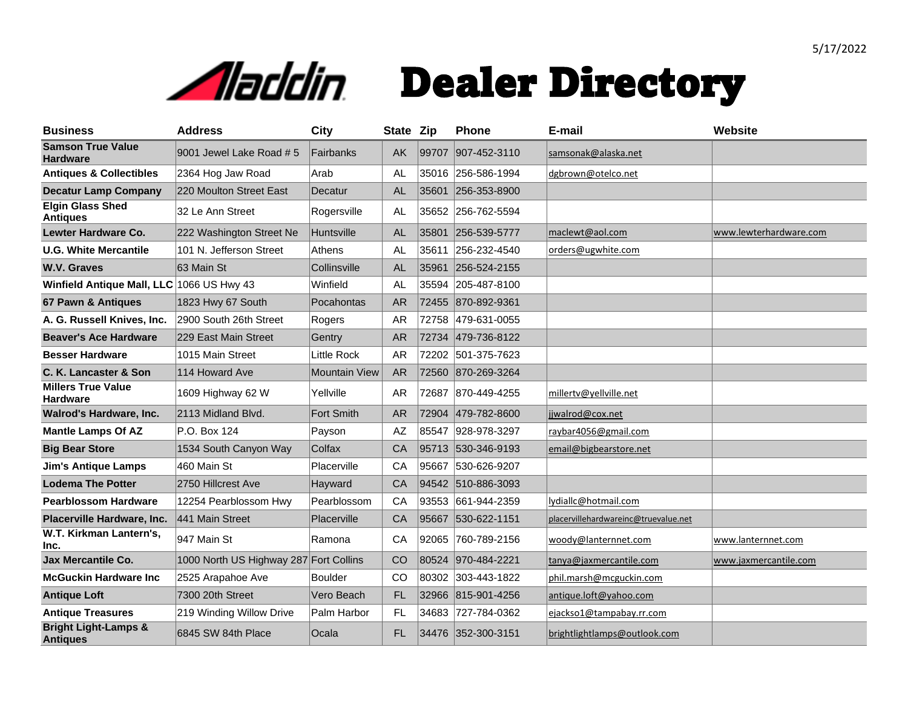

| <b>Business</b>                                    | <b>Address</b>                         | City                 | State Zip |       | <b>Phone</b>       | E-mail                               | <b>Website</b>         |
|----------------------------------------------------|----------------------------------------|----------------------|-----------|-------|--------------------|--------------------------------------|------------------------|
| <b>Samson True Value</b><br><b>Hardware</b>        | 9001 Jewel Lake Road #5                | Fairbanks            | <b>AK</b> | 99707 | 907-452-3110       | samsonak@alaska.net                  |                        |
| <b>Antiques &amp; Collectibles</b>                 | 2364 Hog Jaw Road                      | Arab                 | <b>AL</b> |       | 35016 256-586-1994 | dgbrown@otelco.net                   |                        |
| <b>Decatur Lamp Company</b>                        | 220 Moulton Street East                | Decatur              | <b>AL</b> |       | 35601 256-353-8900 |                                      |                        |
| <b>Elgin Glass Shed</b><br><b>Antiques</b>         | 32 Le Ann Street                       | Rogersville          | AL.       |       | 35652 256-762-5594 |                                      |                        |
| Lewter Hardware Co.                                | 222 Washington Street Ne               | Huntsville           | <b>AL</b> | 35801 | 256-539-5777       | maclewt@aol.com                      | www.lewterhardware.com |
| <b>U.G. White Mercantile</b>                       | 101 N. Jefferson Street                | Athens               | <b>AL</b> | 35611 | 256-232-4540       | orders@ugwhite.com                   |                        |
| W.V. Graves                                        | 63 Main St                             | Collinsville         | AL        | 35961 | 256-524-2155       |                                      |                        |
| Winfield Antique Mall, LLC 1066 US Hwy 43          |                                        | Winfield             | <b>AL</b> |       | 35594 205-487-8100 |                                      |                        |
| 67 Pawn & Antiques                                 | 1823 Hwy 67 South                      | Pocahontas           | <b>AR</b> | 72455 | 870-892-9361       |                                      |                        |
| A. G. Russell Knives, Inc.                         | 2900 South 26th Street                 | Rogers               | <b>AR</b> | 72758 | 479-631-0055       |                                      |                        |
| <b>Beaver's Ace Hardware</b>                       | 229 East Main Street                   | Gentry               | <b>AR</b> | 72734 | 479-736-8122       |                                      |                        |
| <b>Besser Hardware</b>                             | 1015 Main Street                       | <b>Little Rock</b>   | <b>AR</b> |       | 72202 501-375-7623 |                                      |                        |
| C. K. Lancaster & Son                              | 114 Howard Ave                         | <b>Mountain View</b> | <b>AR</b> | 72560 | 870-269-3264       |                                      |                        |
| <b>Millers True Value</b><br><b>Hardware</b>       | 1609 Highway 62 W                      | Yellville            | <b>AR</b> | 72687 | 870-449-4255       | millertv@yellville.net               |                        |
| <b>Walrod's Hardware, Inc.</b>                     | 2113 Midland Blvd.                     | <b>Fort Smith</b>    | <b>AR</b> | 72904 | 479-782-8600       | jjwalrod@cox.net                     |                        |
| <b>Mantle Lamps Of AZ</b>                          | P.O. Box 124                           | Payson               | <b>AZ</b> | 85547 | 928-978-3297       | raybar4056@gmail.com                 |                        |
| <b>Big Bear Store</b>                              | 1534 South Canyon Way                  | Colfax               | CA        |       | 95713 530-346-9193 | email@bigbearstore.net               |                        |
| <b>Jim's Antique Lamps</b>                         | 460 Main St                            | Placerville          | CA        |       | 95667 530-626-9207 |                                      |                        |
| <b>Lodema The Potter</b>                           | 2750 Hillcrest Ave                     | Hayward              | CA        | 94542 | 510-886-3093       |                                      |                        |
| <b>Pearblossom Hardware</b>                        | 12254 Pearblossom Hwy                  | Pearblossom          | CA        |       | 93553 661-944-2359 | lydiallc@hotmail.com                 |                        |
| Placerville Hardware, Inc.                         | 441 Main Street                        | Placerville          | CA        | 95667 | 530-622-1151       | placervillehardwareinc@truevalue.net |                        |
| W.T. Kirkman Lantern's,<br>Inc.                    | 947 Main St                            | Ramona               | CA        | 92065 | 760-789-2156       | woody@lanternnet.com                 | www.lanternnet.com     |
| <b>Jax Mercantile Co.</b>                          | 1000 North US Highway 287 Fort Collins |                      | CO        | 80524 | 970-484-2221       | tanya@jaxmercantile.com              | www.jaxmercantile.com  |
| <b>McGuckin Hardware Inc.</b>                      | 2525 Arapahoe Ave                      | <b>Boulder</b>       | CO        |       | 80302 303-443-1822 | phil.marsh@mcguckin.com              |                        |
| <b>Antique Loft</b>                                | 7300 20th Street                       | Vero Beach           | FL        | 32966 | 815-901-4256       | antique.loft@yahoo.com               |                        |
| <b>Antique Treasures</b>                           | 219 Winding Willow Drive               | Palm Harbor          | <b>FL</b> | 34683 | 727-784-0362       | ejackso1@tampabay.rr.com             |                        |
| <b>Bright Light-Lamps &amp;</b><br><b>Antiques</b> | 6845 SW 84th Place                     | Ocala                | FL.       |       | 34476 352-300-3151 | brightlightlamps@outlook.com         |                        |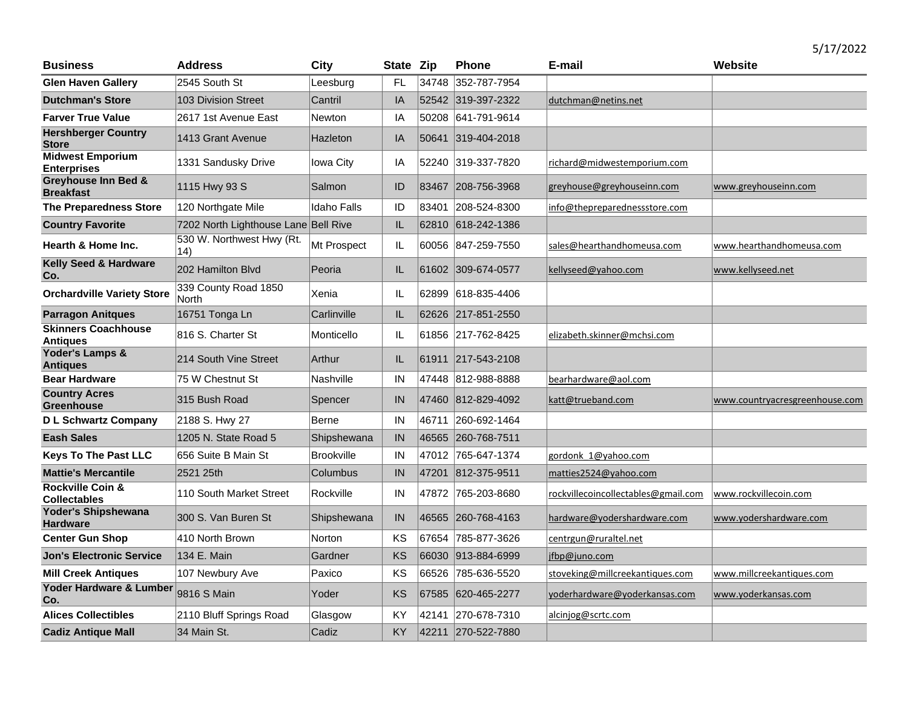| <b>Business</b>                                    | <b>Address</b>                       | <b>City</b>        | State Zip |       | <b>Phone</b>       | E-mail                              | Website                        |
|----------------------------------------------------|--------------------------------------|--------------------|-----------|-------|--------------------|-------------------------------------|--------------------------------|
| <b>Glen Haven Gallery</b>                          | 2545 South St                        | Leesburg           | FL        | 34748 | 352-787-7954       |                                     |                                |
| <b>Dutchman's Store</b>                            | <b>103 Division Street</b>           | Cantril            | IA        |       | 52542 319-397-2322 | dutchman@netins.net                 |                                |
| <b>Farver True Value</b>                           | 2617 1st Avenue East                 | Newton             | IA        | 50208 | 641-791-9614       |                                     |                                |
| <b>Hershberger Country</b><br><b>Store</b>         | 1413 Grant Avenue                    | Hazleton           | IA        | 50641 | 319-404-2018       |                                     |                                |
| <b>Midwest Emporium</b><br><b>Enterprises</b>      | 1331 Sandusky Drive                  | Iowa City          | IA        |       | 52240 319-337-7820 | richard@midwestemporium.com         |                                |
| <b>Greyhouse Inn Bed &amp;</b><br><b>Breakfast</b> | 1115 Hwy 93 S                        | Salmon             | ID        | 83467 | 208-756-3968       | greyhouse@greyhouseinn.com          | www.greyhouseinn.com           |
| <b>The Preparedness Store</b>                      | 120 Northgate Mile                   | <b>Idaho Falls</b> | ID        | 83401 | 208-524-8300       | info@thepreparednessstore.com       |                                |
| <b>Country Favorite</b>                            | 7202 North Lighthouse Lane Bell Rive |                    | IL        | 62810 | 618-242-1386       |                                     |                                |
| <b>Hearth &amp; Home Inc.</b>                      | 530 W. Northwest Hwy (Rt.<br>14)     | Mt Prospect        | IL        | 60056 | 847-259-7550       | sales@hearthandhomeusa.com          | www.hearthandhomeusa.com       |
| Kelly Seed & Hardware<br>Co.                       | 202 Hamilton Blyd                    | Peoria             | IL        | 61602 | 309-674-0577       | kellyseed@yahoo.com                 | www.kellyseed.net              |
| <b>Orchardville Variety Store</b>                  | 339 County Road 1850<br>North        | Xenia              | IL        | 62899 | 618-835-4406       |                                     |                                |
| <b>Parragon Anitques</b>                           | 16751 Tonga Ln                       | Carlinville        | IL        |       | 62626 217-851-2550 |                                     |                                |
| <b>Skinners Coachhouse</b><br><b>Antiques</b>      | 816 S. Charter St                    | Monticello         | IL        | 61856 | 217-762-8425       | elizabeth.skinner@mchsi.com         |                                |
| Yoder's Lamps &<br><b>Antiques</b>                 | 214 South Vine Street                | Arthur             | IL        |       | 61911 217-543-2108 |                                     |                                |
| <b>Bear Hardware</b>                               | 75 W Chestnut St                     | Nashville          | IN        | 47448 | 812-988-8888       | bearhardware@aol.com                |                                |
| <b>Country Acres</b><br><b>Greenhouse</b>          | 315 Bush Road                        | Spencer            | IN        |       | 47460 812-829-4092 | katt@trueband.com                   | www.countryacresgreenhouse.com |
| <b>D L Schwartz Company</b>                        | 2188 S. Hwy 27                       | Berne              | IN        | 46711 | 260-692-1464       |                                     |                                |
| <b>Eash Sales</b>                                  | 1205 N. State Road 5                 | Shipshewana        | IN        |       | 46565 260-768-7511 |                                     |                                |
| <b>Keys To The Past LLC</b>                        | 656 Suite B Main St                  | <b>Brookville</b>  | IN        |       | 47012 765-647-1374 | gordonk 1@yahoo.com                 |                                |
| <b>Mattie's Mercantile</b>                         | 2521 25th                            | Columbus           | IN        | 47201 | 812-375-9511       | matties2524@yahoo.com               |                                |
| <b>Rockville Coin &amp;</b><br><b>Collectables</b> | 110 South Market Street              | Rockville          | IN        | 47872 | 765-203-8680       | rockvillecoincollectables@gmail.com | www.rockvillecoin.com          |
| Yoder's Shipshewana<br><b>Hardware</b>             | 300 S. Van Buren St                  | Shipshewana        | IN        |       | 46565 260-768-4163 | hardware@yodershardware.com         | www.yodershardware.com         |
| <b>Center Gun Shop</b>                             | 410 North Brown                      | <b>Norton</b>      | KS        | 67654 | 785-877-3626       | centrgun@ruraltel.net               |                                |
| <b>Jon's Electronic Service</b>                    | 134 E. Main                          | Gardner            | KS        | 66030 | 913-884-6999       | jfbp@juno.com                       |                                |
| <b>Mill Creek Antiques</b>                         | 107 Newbury Ave                      | Paxico             | KS        | 66526 | 785-636-5520       | stoveking@millcreekantiques.com     | www.millcreekantiques.com      |
| Yoder Hardware & Lumber<br>Co.                     | 9816 S Main                          | Yoder              | KS        | 67585 | 620-465-2277       | yoderhardware@yoderkansas.com       | www.yoderkansas.com            |
| <b>Alices Collectibles</b>                         | 2110 Bluff Springs Road              | Glasgow            | ΚY        |       | 42141 270-678-7310 | alcinjog@scrtc.com                  |                                |
| <b>Cadiz Antique Mall</b>                          | 34 Main St.                          | Cadiz              | KY        |       | 42211 270-522-7880 |                                     |                                |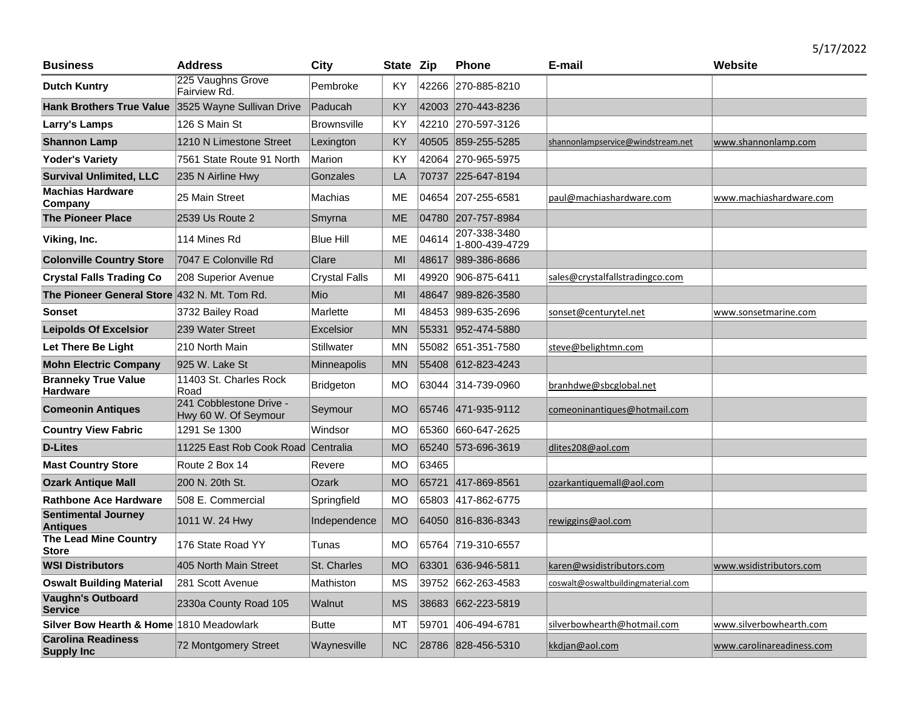| <b>Business</b>                                    | <b>Address</b>                                  | <b>City</b>          | State Zip |       | <b>Phone</b>                   | E-mail                             | Website                   |
|----------------------------------------------------|-------------------------------------------------|----------------------|-----------|-------|--------------------------------|------------------------------------|---------------------------|
| <b>Dutch Kuntry</b>                                | 225 Vaughns Grove<br>Fairview Rd.               | Pembroke             | KY        |       | 42266 270-885-8210             |                                    |                           |
| Hank Brothers True Value 3525 Wayne Sullivan Drive |                                                 | Paducah              | KY        |       | 42003 270-443-8236             |                                    |                           |
| Larry's Lamps                                      | 126 S Main St                                   | <b>Brownsville</b>   | KY        |       | 42210 270-597-3126             |                                    |                           |
| <b>Shannon Lamp</b>                                | 1210 N Limestone Street                         | Lexington            | <b>KY</b> | 40505 | 859-255-5285                   | shannonlampservice@windstream.net  | www.shannonlamp.com       |
| <b>Yoder's Variety</b>                             | 7561 State Route 91 North                       | Marion               | KY        | 42064 | 270-965-5975                   |                                    |                           |
| <b>Survival Unlimited, LLC</b>                     | 235 N Airline Hwy                               | Gonzales             | LA        | 70737 | 225-647-8194                   |                                    |                           |
| <b>Machias Hardware</b><br>Company                 | 25 Main Street                                  | Machias              | ME        |       | 04654 207-255-6581             | paul@machiashardware.com           | www.machiashardware.com   |
| <b>The Pioneer Place</b>                           | 2539 Us Route 2                                 | Smyrna               | <b>ME</b> |       | 04780 207-757-8984             |                                    |                           |
| Viking, Inc.                                       | 114 Mines Rd                                    | <b>Blue Hill</b>     | <b>ME</b> | 04614 | 207-338-3480<br>1-800-439-4729 |                                    |                           |
| <b>Colonville Country Store</b>                    | 7047 E Colonville Rd                            | Clare                | MI        | 48617 | 989-386-8686                   |                                    |                           |
| <b>Crystal Falls Trading Co</b>                    | 208 Superior Avenue                             | <b>Crystal Falls</b> | MI        | 49920 | 906-875-6411                   | sales@crystalfallstradingco.com    |                           |
| The Pioneer General Store 432 N. Mt. Tom Rd.       |                                                 | Mio                  | MI        | 48647 | 989-826-3580                   |                                    |                           |
| <b>Sonset</b>                                      | 3732 Bailey Road                                | Marlette             | MI        | 48453 | 989-635-2696                   | sonset@centurytel.net              | www.sonsetmarine.com      |
| <b>Leipolds Of Excelsior</b>                       | 239 Water Street                                | Excelsior            | <b>MN</b> | 55331 | 952-474-5880                   |                                    |                           |
| Let There Be Light                                 | 210 North Main                                  | Stillwater           | <b>MN</b> |       | 55082 651-351-7580             | steve@belightmn.com                |                           |
| <b>Mohn Electric Company</b>                       | 925 W. Lake St                                  | Minneapolis          | <b>MN</b> | 55408 | 612-823-4243                   |                                    |                           |
| <b>Branneky True Value</b><br><b>Hardware</b>      | 11403 St. Charles Rock<br>Road                  | <b>Bridgeton</b>     | MO        |       | 63044 314-739-0960             | branhdwe@sbcglobal.net             |                           |
| <b>Comeonin Antiques</b>                           | 241 Cobblestone Drive -<br>Hwy 60 W. Of Seymour | Seymour              | <b>MO</b> |       | 65746 471-935-9112             | comeoninantiques@hotmail.com       |                           |
| <b>Country View Fabric</b>                         | 1291 Se 1300                                    | Windsor              | <b>MO</b> | 65360 | 660-647-2625                   |                                    |                           |
| <b>D-Lites</b>                                     | 11225 East Rob Cook Road                        | Centralia            | <b>MO</b> | 65240 | 573-696-3619                   | dlites208@aol.com                  |                           |
| <b>Mast Country Store</b>                          | Route 2 Box 14                                  | Revere               | <b>MO</b> | 63465 |                                |                                    |                           |
| <b>Ozark Antique Mall</b>                          | 200 N. 20th St.                                 | Ozark                | <b>MO</b> | 65721 | 417-869-8561                   | ozarkantiquemall@aol.com           |                           |
| <b>Rathbone Ace Hardware</b>                       | 508 E. Commercial                               | Springfield          | MO        |       | 65803 417-862-6775             |                                    |                           |
| <b>Sentimental Journey</b><br><b>Antiques</b>      | 1011 W. 24 Hwy                                  | Independence         | <b>MO</b> | 64050 | 816-836-8343                   | rewiggins@aol.com                  |                           |
| <b>The Lead Mine Country</b><br><b>Store</b>       | 176 State Road YY                               | Tunas                | <b>MO</b> |       | 65764 719-310-6557             |                                    |                           |
| <b>WSI Distributors</b>                            | 405 North Main Street                           | St. Charles          | <b>MO</b> | 63301 | 636-946-5811                   | karen@wsidistributors.com          | www.wsidistributors.com   |
| <b>Oswalt Building Material</b>                    | 281 Scott Avenue                                | Mathiston            | <b>MS</b> | 39752 | 662-263-4583                   | coswalt@oswaltbuildingmaterial.com |                           |
| <b>Vaughn's Outboard</b><br><b>Service</b>         | 2330a County Road 105                           | Walnut               | <b>MS</b> | 38683 | 662-223-5819                   |                                    |                           |
| Silver Bow Hearth & Home 1810 Meadowlark           |                                                 | <b>Butte</b>         | MT        | 59701 | 406-494-6781                   | silverbowhearth@hotmail.com        | www.silverbowhearth.com   |
| <b>Carolina Readiness</b><br><b>Supply Inc</b>     | 72 Montgomery Street                            | Waynesville          | <b>NC</b> |       | 28786 828-456-5310             | kkdjan@aol.com                     | www.carolinareadiness.com |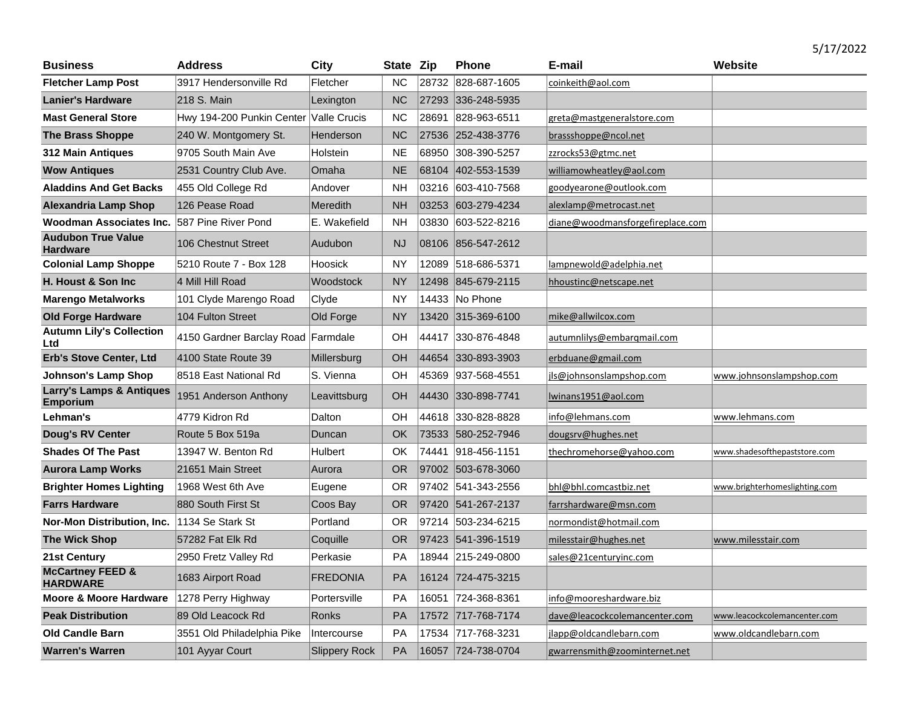| Business                                               | <b>Address</b>                     | City                 | State Zip |       | <b>Phone</b>       | E-mail                           | Website                       |
|--------------------------------------------------------|------------------------------------|----------------------|-----------|-------|--------------------|----------------------------------|-------------------------------|
| <b>Fletcher Lamp Post</b>                              | 3917 Hendersonville Rd             | Fletcher             | <b>NC</b> | 28732 | 828-687-1605       | coinkeith@aol.com                |                               |
| <b>Lanier's Hardware</b>                               | 218 S. Main                        | Lexington            | <b>NC</b> |       | 27293 336-248-5935 |                                  |                               |
| <b>Mast General Store</b>                              | Hwy 194-200 Punkin Center          | <b>Valle Crucis</b>  | <b>NC</b> | 28691 | 828-963-6511       | greta@mastgeneralstore.com       |                               |
| <b>The Brass Shoppe</b>                                | 240 W. Montgomery St.              | Henderson            | <b>NC</b> |       | 27536 252-438-3776 | brassshoppe@ncol.net             |                               |
| <b>312 Main Antiques</b>                               | 9705 South Main Ave                | Holstein             | <b>NE</b> | 68950 | 308-390-5257       | zzrocks53@gtmc.net               |                               |
| <b>Wow Antiques</b>                                    | 2531 Country Club Ave.             | Omaha                | <b>NE</b> | 68104 | 402-553-1539       | williamowheatley@aol.com         |                               |
| <b>Aladdins And Get Backs</b>                          | 455 Old College Rd                 | Andover              | <b>NH</b> |       | 03216 603-410-7568 | goodyearone@outlook.com          |                               |
| <b>Alexandria Lamp Shop</b>                            | 126 Pease Road                     | Meredith             | <b>NH</b> |       | 03253 603-279-4234 | alexlamp@metrocast.net           |                               |
| Woodman Associates Inc.                                | 587 Pine River Pond                | E. Wakefield         | <b>NH</b> | 03830 | 603-522-8216       | diane@woodmansforgefireplace.com |                               |
| <b>Audubon True Value</b><br><b>Hardware</b>           | 106 Chestnut Street                | Audubon              | <b>NJ</b> |       | 08106 856-547-2612 |                                  |                               |
| <b>Colonial Lamp Shoppe</b>                            | 5210 Route 7 - Box 128             | Hoosick              | <b>NY</b> | 12089 | 518-686-5371       | lampnewold@adelphia.net          |                               |
| H. Houst & Son Inc.                                    | 4 Mill Hill Road                   | Woodstock            | <b>NY</b> | 12498 | 845-679-2115       | hhoustinc@netscape.net           |                               |
| <b>Marengo Metalworks</b>                              | 101 Clyde Marengo Road             | Clyde                | NY        |       | 14433 No Phone     |                                  |                               |
| <b>Old Forge Hardware</b>                              | 104 Fulton Street                  | Old Forge            | <b>NY</b> |       | 13420 315-369-6100 | mike@allwilcox.com               |                               |
| <b>Autumn Lily's Collection</b><br>Ltd                 | 4150 Gardner Barclay Road Farmdale |                      | OH        | 44417 | 330-876-4848       | autumnlilys@embargmail.com       |                               |
| <b>Erb's Stove Center, Ltd</b>                         | 4100 State Route 39                | Millersburg          | OH        | 44654 | 330-893-3903       | erbduane@gmail.com               |                               |
| <b>Johnson's Lamp Shop</b>                             | 8518 East National Rd              | S. Vienna            | OH        | 45369 | 937-568-4551       | jls@johnsonslampshop.com         | www.johnsonslampshop.com      |
| <b>Larry's Lamps &amp; Antiques</b><br><b>Emporium</b> | 1951 Anderson Anthony              | Leavittsburg         | OH        | 44430 | 330-898-7741       | lwinans1951@aol.com              |                               |
| Lehman's                                               | 4779 Kidron Rd                     | Dalton               | OН        |       | 44618 330-828-8828 | info@lehmans.com                 | www.lehmans.com               |
| <b>Doug's RV Center</b>                                | Route 5 Box 519a                   | Duncan               | OK        |       | 73533 580-252-7946 | dougsrv@hughes.net               |                               |
| <b>Shades Of The Past</b>                              | 13947 W. Benton Rd                 | Hulbert              | OK        |       | 74441 918-456-1151 | thechromehorse@yahoo.com         | www.shadesofthepaststore.com  |
| <b>Aurora Lamp Works</b>                               | 21651 Main Street                  | Aurora               | <b>OR</b> |       | 97002 503-678-3060 |                                  |                               |
| <b>Brighter Homes Lighting</b>                         | 1968 West 6th Ave                  | Eugene               | OR        | 97402 | 541-343-2556       | bhl@bhl.comcastbiz.net           | www.brighterhomeslighting.com |
| <b>Farrs Hardware</b>                                  | 880 South First St                 | Coos Bay             | <b>OR</b> |       | 97420 541-267-2137 | farrshardware@msn.com            |                               |
| Nor-Mon Distribution, Inc.                             | 1134 Se Stark St                   | Portland             | 0R        |       | 97214 503-234-6215 | normondist@hotmail.com           |                               |
| <b>The Wick Shop</b>                                   | 57282 Fat Elk Rd                   | Coquille             | <b>OR</b> |       | 97423 541-396-1519 | milesstair@hughes.net            | www.milesstair.com            |
| <b>21st Century</b>                                    | 2950 Fretz Valley Rd               | Perkasie             | PA        | 18944 | 215-249-0800       | sales@21centuryinc.com           |                               |
| <b>McCartney FEED &amp;</b><br><b>HARDWARE</b>         | 1683 Airport Road                  | <b>FREDONIA</b>      | PA        |       | 16124 724-475-3215 |                                  |                               |
| Moore & Moore Hardware                                 | 1278 Perry Highway                 | Portersville         | PA        | 16051 | 724-368-8361       | info@mooreshardware.biz          |                               |
| <b>Peak Distribution</b>                               | 89 Old Leacock Rd                  | <b>Ronks</b>         | PA        |       | 17572 717-768-7174 | dave@leacockcolemancenter.com    | www.leacockcolemancenter.com  |
| <b>Old Candle Barn</b>                                 | 3551 Old Philadelphia Pike         | Intercourse          | PA        |       | 17534 717-768-3231 | jlapp@oldcandlebarn.com          | www.oldcandlebarn.com         |
| <b>Warren's Warren</b>                                 | 101 Ayyar Court                    | <b>Slippery Rock</b> | PA        |       | 16057 724-738-0704 | gwarrensmith@zoominternet.net    |                               |